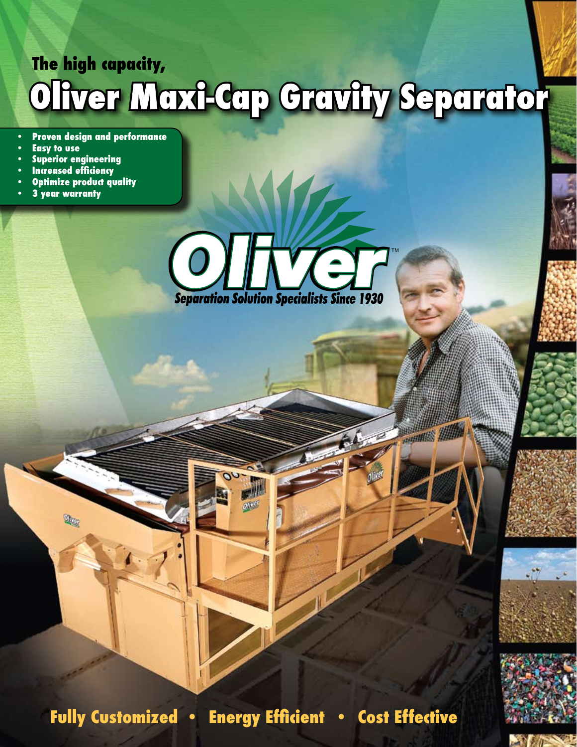# The high capacity,<br>**OIIVET MOXI-CCIP CTCVIIY SEPCITCTION**

- **• Proven design and performance**
- **• Easy to use**
- **• Superior engineering**

 $\mathbb{R}$ 

- **• Increased efficiency**
- **• Optimize product quality**
- **• 3 year warranty**



**Fully Customized • Energy Efficient • Cost Effective**



HALL AND HALL



 $-160$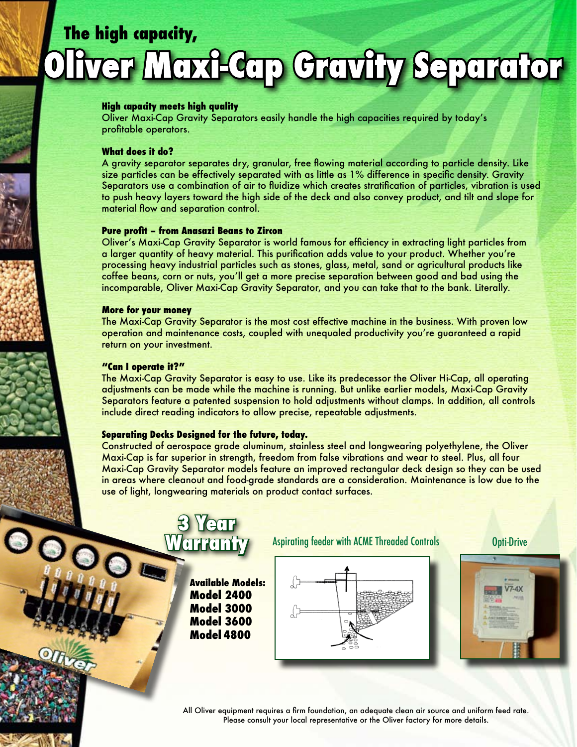# **The high capacity, fver Moxi-Cap Cravity Separator**

#### **High capacity meets high quality**

Oliver Maxi-Cap Gravity Separators easily handle the high capacities required by today's profitable operators.

#### **What does it do?**

A gravity separator separates dry, granular, free flowing material according to particle density. Like size particles can be effectively separated with as little as 1% difference in specific density. Gravity Separators use a combination of air to fluidize which creates stratification of particles, vibration is used to push heavy layers toward the high side of the deck and also convey product, and tilt and slope for material flow and separation control.

#### **Pure profit – from Anasazi Beans to Zircon**

Oliver's Maxi-Cap Gravity Separator is world famous for efficiency in extracting light particles from a larger quantity of heavy material. This purification adds value to your product. Whether you're processing heavy industrial particles such as stones, glass, metal, sand or agricultural products like coffee beans, corn or nuts, you'll get a more precise separation between good and bad using the incomparable, Oliver Maxi-Cap Gravity Separator, and you can take that to the bank. Literally.

#### **More for your money**

The Maxi-Cap Gravity Separator is the most cost effective machine in the business. With proven low operation and maintenance costs, coupled with unequaled productivity you're guaranteed a rapid return on your investment.

#### **"Can I operate it?"**

 $\bullet$ 

The Maxi-Cap Gravity Separator is easy to use. Like its predecessor the Oliver Hi-Cap, all operating adjustments can be made while the machine is running. But unlike earlier models, Maxi-Cap Gravity Separators feature a patented suspension to hold adjustments without clamps. In addition, all controls include direct reading indicators to allow precise, repeatable adjustments.

#### **Separating Decks Designed for the future, today.**

**3 Year Warranty**

Constructed of aerospace grade aluminum, stainless steel and longwearing polyethylene, the Oliver Maxi-Cap is far superior in strength, freedom from false vibrations and wear to steel. Plus, all four Maxi-Cap Gravity Separator models feature an improved rectangular deck design so they can be used in areas where cleanout and food-grade standards are a consideration. Maintenance is low due to the use of light, longwearing materials on product contact surfaces.

> **Available Models: Model 2400 Model 3000 Model 3600 Model 4800**

#### Aspirating feeder with ACME Threaded Controls **Opti-Drive**





All Oliver equipment requires a firm foundation, an adequate clean air source and uniform feed rate. Please consult your local representative or the Oliver factory for more details.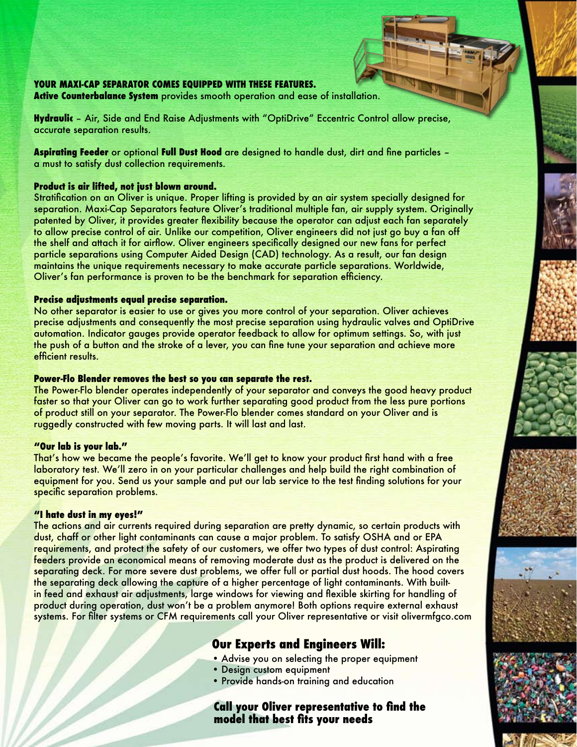#### **YOUR MAXI-CAP SEPARATOR COMES EQUIPPED WITH THESE FEATURES.**

**Active Counterbalance System** provides smooth operation and ease of installation.

**Hydraulic** – Air, Side and End Raise Adjustments with "OptiDrive" Eccentric Control allow precise, accurate separation results.

**Aspirating Feeder** or optional **Full Dust Hood** are designed to handle dust, dirt and fine particles – a must to satisfy dust collection requirements.

#### **Product is air lifted, not just blown around.**

Stratification on an Oliver is unique. Proper lifting is provided by an air system specially designed for separation. Maxi-Cap Separators feature Oliver's traditional multiple fan, air supply system. Originally patented by Oliver, it provides greater flexibility because the operator can adjust each fan separately to allow precise control of air. Unlike our competition, Oliver engineers did not just go buy a fan off the shelf and attach it for airflow. Oliver engineers specifically designed our new fans for perfect particle separations using Computer Aided Design (CAD) technology. As a result, our fan design maintains the unique requirements necessary to make accurate particle separations. Worldwide, Oliver's fan performance is proven to be the benchmark for separation efficiency.

#### **Precise adjustments equal precise separation.**

No other separator is easier to use or gives you more control of your separation. Oliver achieves precise adjustments and consequently the most precise separation using hydraulic valves and OptiDrive automation. Indicator gauges provide operator feedback to allow for optimum settings. So, with just the push of a button and the stroke of a lever, you can fine tune your separation and achieve more efficient results.

#### **Power-Flo Blender removes the best so you can separate the rest.**

The Power-Flo blender operates independently of your separator and conveys the good heavy product faster so that your Oliver can go to work further separating good product from the less pure portions of product still on your separator. The Power-Flo blender comes standard on your Oliver and is ruggedly constructed with few moving parts. It will last and last.

#### **"Our lab is your lab."**

That's how we became the people's favorite. We'll get to know your product first hand with a free laboratory test. We'll zero in on your particular challenges and help build the right combination of equipment for you. Send us your sample and put our lab service to the test finding solutions for your specific separation problems.

#### **"I hate dust in my eyes!"**

The actions and air currents required during separation are pretty dynamic, so certain products with dust, chaff or other light contaminants can cause a major problem. To satisfy OSHA and or EPA requirements, and protect the safety of our customers, we offer two types of dust control: Aspirating feeders provide an economical means of removing moderate dust as the product is delivered on the separating deck. For more severe dust problems, we offer full or partial dust hoods. The hood covers the separating deck allowing the capture of a higher percentage of light contaminants. With builtin feed and exhaust air adjustments, large windows for viewing and flexible skirting for handling of product during operation, dust won't be a problem anymore! Both options require external exhaust systems. For filter systems or CFM requirements call your Oliver representative or visit olivermfgco.com

## **Our Experts and Engineers Will:**

- Advise you on selecting the proper equipment
- Design custom equipment
- Provide hands-on training and education

### **Call your Oliver representative to find the model that best fits your needs**